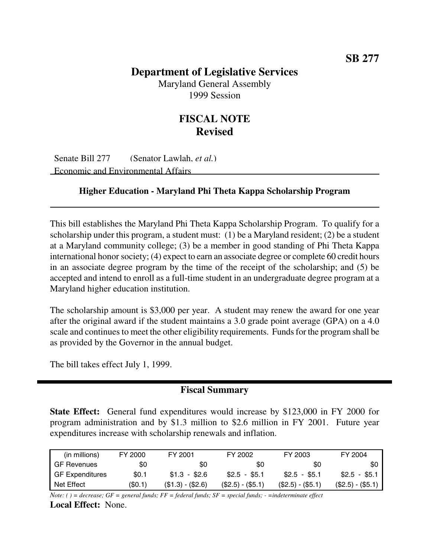# **Department of Legislative Services**

Maryland General Assembly 1999 Session

# **FISCAL NOTE Revised**

Senate Bill 277 (Senator Lawlah, *et al.*) Economic and Environmental Affairs

### **Higher Education - Maryland Phi Theta Kappa Scholarship Program**

This bill establishes the Maryland Phi Theta Kappa Scholarship Program. To qualify for a scholarship under this program, a student must: (1) be a Maryland resident; (2) be a student at a Maryland community college; (3) be a member in good standing of Phi Theta Kappa international honor society; (4) expect to earn an associate degree or complete 60 credit hours in an associate degree program by the time of the receipt of the scholarship; and (5) be accepted and intend to enroll as a full-time student in an undergraduate degree program at a Maryland higher education institution.

The scholarship amount is \$3,000 per year. A student may renew the award for one year after the original award if the student maintains a 3.0 grade point average (GPA) on a 4.0 scale and continues to meet the other eligibility requirements. Funds for the program shall be as provided by the Governor in the annual budget.

The bill takes effect July 1, 1999.

## **Fiscal Summary**

**State Effect:** General fund expenditures would increase by \$123,000 in FY 2000 for program administration and by \$1.3 million to \$2.6 million in FY 2001. Future year expenditures increase with scholarship renewals and inflation.

| (in millions)        | FY 2000 | FY 2001           | FY 2002           | FY 2003           | FY 2004           |
|----------------------|---------|-------------------|-------------------|-------------------|-------------------|
| <b>I</b> GF Revenues | \$0     | \$0               | 80                | \$0               | \$0               |
| GF Expenditures      | \$0.1   | $$1.3 - $2.6$     | $$2.5 - $5.1$     | $$2.5 - $5.1$     | $$2.5 - $5.1$     |
| I Net Effect         | (\$0.1) | $($1.3) - ($2.6)$ | $($2.5) - ($5.1)$ | $(S2.5) - (55.1)$ | $($2.5) - ($5.1)$ |

Note: () = decrease; GF = general funds; FF = federal funds; SF = special funds; - = indeterminate effect **Local Effect:** None.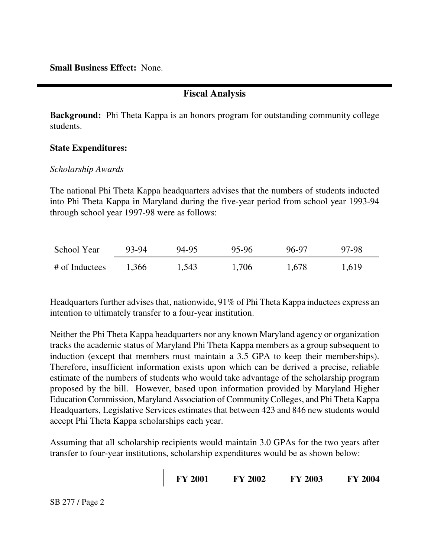**Small Business Effect:** None.

## **Fiscal Analysis**

**Background:** Phi Theta Kappa is an honors program for outstanding community college students.

### **State Expenditures:**

#### *Scholarship Awards*

The national Phi Theta Kappa headquarters advises that the numbers of students inducted into Phi Theta Kappa in Maryland during the five-year period from school year 1993-94 through school year 1997-98 were as follows:

| School Year    | 93-94 | 94-95 | 95-96 | 96-97 | 97-98 |
|----------------|-------|-------|-------|-------|-------|
| # of Inductees | 1.366 | 1,543 | 1,706 | 1,678 | 1,619 |

Headquarters further advises that, nationwide, 91% of Phi Theta Kappa inductees express an intention to ultimately transfer to a four-year institution.

Neither the Phi Theta Kappa headquarters nor any known Maryland agency or organization tracks the academic status of Maryland Phi Theta Kappa members as a group subsequent to induction (except that members must maintain a 3.5 GPA to keep their memberships). Therefore, insufficient information exists upon which can be derived a precise, reliable estimate of the numbers of students who would take advantage of the scholarship program proposed by the bill. However, based upon information provided by Maryland Higher Education Commission, Maryland Association of CommunityColleges, and Phi Theta Kappa Headquarters, Legislative Services estimates that between 423 and 846 new students would accept Phi Theta Kappa scholarships each year.

Assuming that all scholarship recipients would maintain 3.0 GPAs for the two years after transfer to four-year institutions, scholarship expenditures would be as shown below:

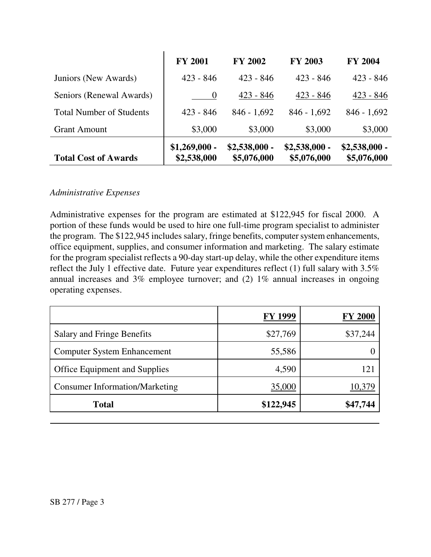|                                 | <b>FY 2001</b>                | <b>FY 2002</b>                | <b>FY 2003</b>                | <b>FY 2004</b>                |
|---------------------------------|-------------------------------|-------------------------------|-------------------------------|-------------------------------|
| Juniors (New Awards)            | $423 - 846$                   | $423 - 846$                   | $423 - 846$                   | $423 - 846$                   |
| Seniors (Renewal Awards)        | $\theta$                      | $423 - 846$                   | $423 - 846$                   | $423 - 846$                   |
| <b>Total Number of Students</b> | $423 - 846$                   | $846 - 1,692$                 | $846 - 1,692$                 | $846 - 1,692$                 |
| <b>Grant Amount</b>             | \$3,000                       | \$3,000                       | \$3,000                       | \$3,000                       |
| <b>Total Cost of Awards</b>     | $$1,269,000 -$<br>\$2,538,000 | $$2,538,000 -$<br>\$5,076,000 | $$2,538,000 -$<br>\$5,076,000 | $$2,538,000 -$<br>\$5,076,000 |

#### *Administrative Expenses*

Administrative expenses for the program are estimated at \$122,945 for fiscal 2000. A portion of these funds would be used to hire one full-time program specialist to administer the program. The \$122,945 includes salary, fringe benefits, computer system enhancements, office equipment, supplies, and consumer information and marketing. The salary estimate for the program specialist reflects a 90-day start-up delay, while the other expenditure items reflect the July 1 effective date. Future year expenditures reflect (1) full salary with 3.5% annual increases and 3% employee turnover; and (2) 1% annual increases in ongoing operating expenses.

|                                       | <b>FY 1999</b> | <b>FY 2000</b> |
|---------------------------------------|----------------|----------------|
| Salary and Fringe Benefits            | \$27,769       | \$37,244       |
| <b>Computer System Enhancement</b>    | 55,586         |                |
| Office Equipment and Supplies         | 4,590          | 121            |
| <b>Consumer Information/Marketing</b> | 35,000         | 10,379         |
| <b>Total</b>                          | \$122,945      | \$47,744       |